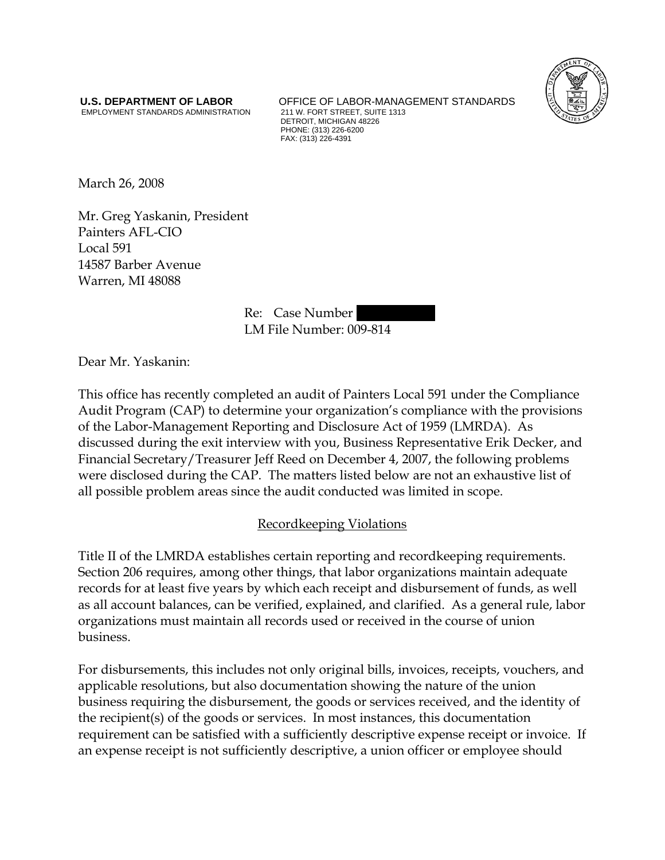EMPLOYMENT STANDARDS ADMINISTRATION

**U.S. DEPARTMENT OF LABOR** OFFICE OF LABOR-MANAGEMENT STANDARDS<br>
EMPLOYMENT STANDARDS ADMINISTRATION 211 W. FORT STREET, SUITE 1313 DETROIT, MICHIGAN 48226 PHONE: (313) 226-6200 FAX: (313) 226-4391



March 26, 2008

Mr. Greg Yaskanin, President Painters AFL-CIO Local 591 14587 Barber Avenue Warren, MI 48088

> Re: Case Number LM File Number: 009-814

Dear Mr. Yaskanin:

This office has recently completed an audit of Painters Local 591 under the Compliance Audit Program (CAP) to determine your organization's compliance with the provisions of the Labor-Management Reporting and Disclosure Act of 1959 (LMRDA). As discussed during the exit interview with you, Business Representative Erik Decker, and Financial Secretary/Treasurer Jeff Reed on December 4, 2007, the following problems were disclosed during the CAP. The matters listed below are not an exhaustive list of all possible problem areas since the audit conducted was limited in scope.

# Recordkeeping Violations

Title II of the LMRDA establishes certain reporting and recordkeeping requirements. Section 206 requires, among other things, that labor organizations maintain adequate records for at least five years by which each receipt and disbursement of funds, as well as all account balances, can be verified, explained, and clarified. As a general rule, labor organizations must maintain all records used or received in the course of union business.

For disbursements, this includes not only original bills, invoices, receipts, vouchers, and applicable resolutions, but also documentation showing the nature of the union business requiring the disbursement, the goods or services received, and the identity of the recipient(s) of the goods or services. In most instances, this documentation requirement can be satisfied with a sufficiently descriptive expense receipt or invoice. If an expense receipt is not sufficiently descriptive, a union officer or employee should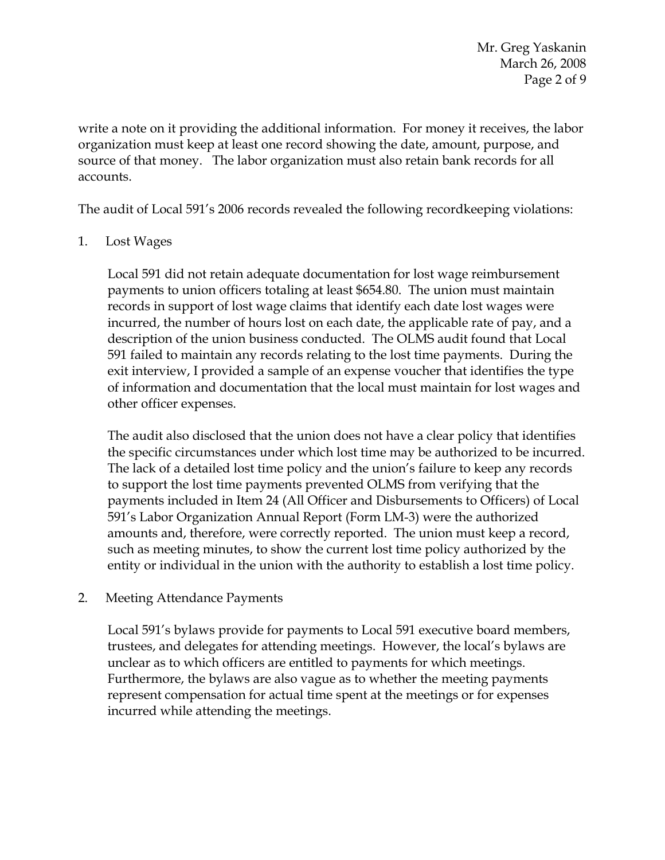Mr. Greg Yaskanin March 26, 2008 Page 2 of 9

write a note on it providing the additional information. For money it receives, the labor organization must keep at least one record showing the date, amount, purpose, and source of that money. The labor organization must also retain bank records for all accounts.

The audit of Local 591's 2006 records revealed the following recordkeeping violations:

1. Lost Wages

Local 591 did not retain adequate documentation for lost wage reimbursement payments to union officers totaling at least \$654.80. The union must maintain records in support of lost wage claims that identify each date lost wages were incurred, the number of hours lost on each date, the applicable rate of pay, and a description of the union business conducted. The OLMS audit found that Local 591 failed to maintain any records relating to the lost time payments. During the exit interview, I provided a sample of an expense voucher that identifies the type of information and documentation that the local must maintain for lost wages and other officer expenses.

The audit also disclosed that the union does not have a clear policy that identifies the specific circumstances under which lost time may be authorized to be incurred. The lack of a detailed lost time policy and the union's failure to keep any records to support the lost time payments prevented OLMS from verifying that the payments included in Item 24 (All Officer and Disbursements to Officers) of Local 591's Labor Organization Annual Report (Form LM-3) were the authorized amounts and, therefore, were correctly reported. The union must keep a record, such as meeting minutes, to show the current lost time policy authorized by the entity or individual in the union with the authority to establish a lost time policy.

## 2. Meeting Attendance Payments

Local 591's bylaws provide for payments to Local 591 executive board members, trustees, and delegates for attending meetings. However, the local's bylaws are unclear as to which officers are entitled to payments for which meetings. Furthermore, the bylaws are also vague as to whether the meeting payments represent compensation for actual time spent at the meetings or for expenses incurred while attending the meetings.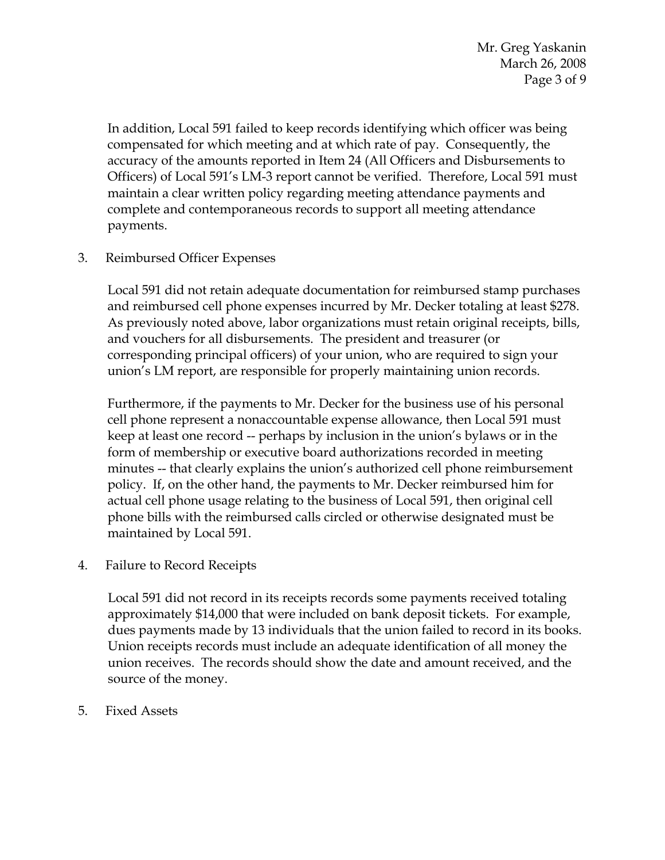In addition, Local 591 failed to keep records identifying which officer was being compensated for which meeting and at which rate of pay. Consequently, the accuracy of the amounts reported in Item 24 (All Officers and Disbursements to Officers) of Local 591's LM-3 report cannot be verified. Therefore, Local 591 must maintain a clear written policy regarding meeting attendance payments and complete and contemporaneous records to support all meeting attendance payments.

3. Reimbursed Officer Expenses

Local 591 did not retain adequate documentation for reimbursed stamp purchases and reimbursed cell phone expenses incurred by Mr. Decker totaling at least \$278. As previously noted above, labor organizations must retain original receipts, bills, and vouchers for all disbursements. The president and treasurer (or corresponding principal officers) of your union, who are required to sign your union's LM report, are responsible for properly maintaining union records.

Furthermore, if the payments to Mr. Decker for the business use of his personal cell phone represent a nonaccountable expense allowance, then Local 591 must keep at least one record -- perhaps by inclusion in the union's bylaws or in the form of membership or executive board authorizations recorded in meeting minutes -- that clearly explains the union's authorized cell phone reimbursement policy. If, on the other hand, the payments to Mr. Decker reimbursed him for actual cell phone usage relating to the business of Local 591, then original cell phone bills with the reimbursed calls circled or otherwise designated must be maintained by Local 591.

4. Failure to Record Receipts

Local 591 did not record in its receipts records some payments received totaling approximately \$14,000 that were included on bank deposit tickets. For example, dues payments made by 13 individuals that the union failed to record in its books. Union receipts records must include an adequate identification of all money the union receives. The records should show the date and amount received, and the source of the money.

5. Fixed Assets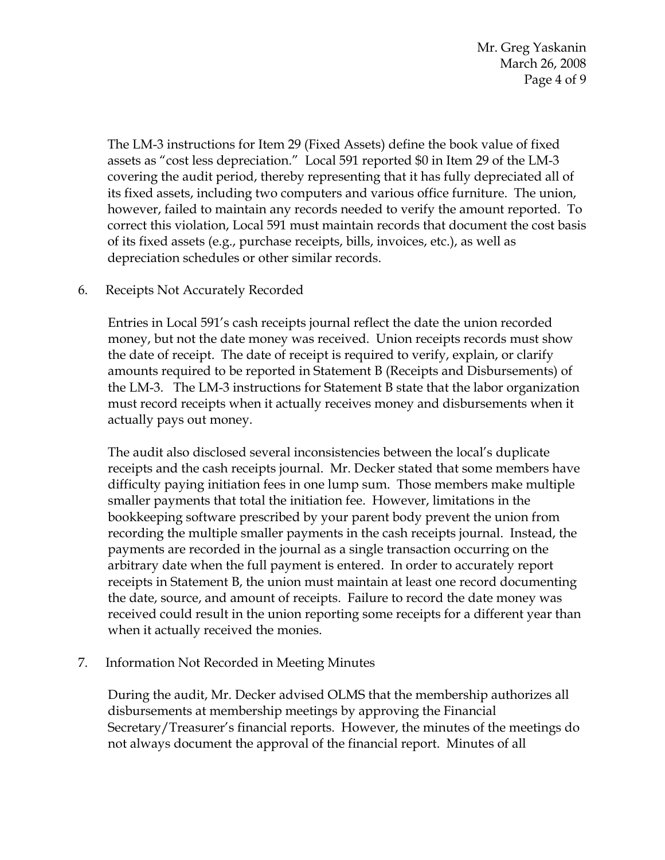Mr. Greg Yaskanin March 26, 2008 Page 4 of 9

The LM-3 instructions for Item 29 (Fixed Assets) define the book value of fixed assets as "cost less depreciation." Local 591 reported \$0 in Item 29 of the LM-3 covering the audit period, thereby representing that it has fully depreciated all of its fixed assets, including two computers and various office furniture. The union, however, failed to maintain any records needed to verify the amount reported. To correct this violation, Local 591 must maintain records that document the cost basis of its fixed assets (e.g., purchase receipts, bills, invoices, etc.), as well as depreciation schedules or other similar records.

## 6. Receipts Not Accurately Recorded

Entries in Local 591's cash receipts journal reflect the date the union recorded money, but not the date money was received. Union receipts records must show the date of receipt. The date of receipt is required to verify, explain, or clarify amounts required to be reported in Statement B (Receipts and Disbursements) of the LM-3. The LM-3 instructions for Statement B state that the labor organization must record receipts when it actually receives money and disbursements when it actually pays out money.

The audit also disclosed several inconsistencies between the local's duplicate receipts and the cash receipts journal. Mr. Decker stated that some members have difficulty paying initiation fees in one lump sum. Those members make multiple smaller payments that total the initiation fee. However, limitations in the bookkeeping software prescribed by your parent body prevent the union from recording the multiple smaller payments in the cash receipts journal. Instead, the payments are recorded in the journal as a single transaction occurring on the arbitrary date when the full payment is entered. In order to accurately report receipts in Statement B, the union must maintain at least one record documenting the date, source, and amount of receipts. Failure to record the date money was received could result in the union reporting some receipts for a different year than when it actually received the monies.

## 7. Information Not Recorded in Meeting Minutes

During the audit, Mr. Decker advised OLMS that the membership authorizes all disbursements at membership meetings by approving the Financial Secretary/Treasurer's financial reports. However, the minutes of the meetings do not always document the approval of the financial report. Minutes of all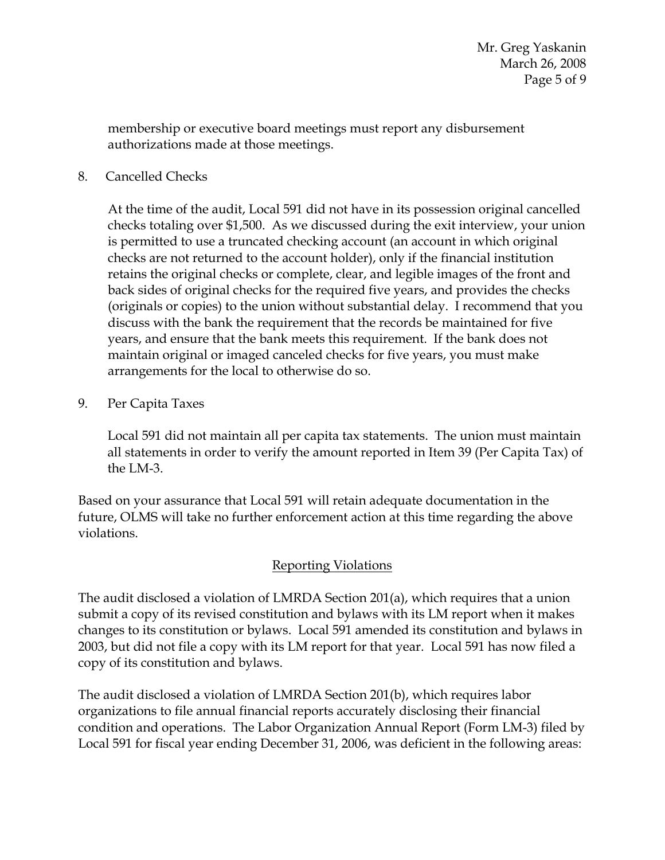membership or executive board meetings must report any disbursement authorizations made at those meetings.

8. Cancelled Checks

At the time of the audit, Local 591 did not have in its possession original cancelled checks totaling over \$1,500. As we discussed during the exit interview, your union is permitted to use a truncated checking account (an account in which original checks are not returned to the account holder), only if the financial institution retains the original checks or complete, clear, and legible images of the front and back sides of original checks for the required five years, and provides the checks (originals or copies) to the union without substantial delay. I recommend that you discuss with the bank the requirement that the records be maintained for five years, and ensure that the bank meets this requirement. If the bank does not maintain original or imaged canceled checks for five years, you must make arrangements for the local to otherwise do so.

9. Per Capita Taxes

Local 591 did not maintain all per capita tax statements. The union must maintain all statements in order to verify the amount reported in Item 39 (Per Capita Tax) of the LM-3.

Based on your assurance that Local 591 will retain adequate documentation in the future, OLMS will take no further enforcement action at this time regarding the above violations.

# Reporting Violations

The audit disclosed a violation of LMRDA Section 201(a), which requires that a union submit a copy of its revised constitution and bylaws with its LM report when it makes changes to its constitution or bylaws. Local 591 amended its constitution and bylaws in 2003, but did not file a copy with its LM report for that year. Local 591 has now filed a copy of its constitution and bylaws.

The audit disclosed a violation of LMRDA Section 201(b), which requires labor organizations to file annual financial reports accurately disclosing their financial condition and operations. The Labor Organization Annual Report (Form LM-3) filed by Local 591 for fiscal year ending December 31, 2006, was deficient in the following areas: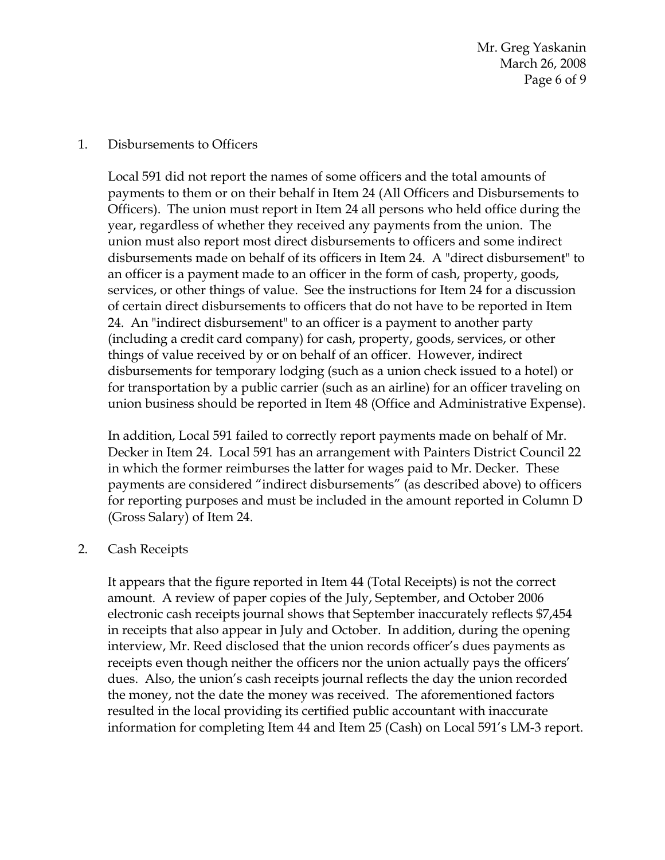Mr. Greg Yaskanin March 26, 2008 Page 6 of 9

#### 1. Disbursements to Officers

Local 591 did not report the names of some officers and the total amounts of payments to them or on their behalf in Item 24 (All Officers and Disbursements to Officers). The union must report in Item 24 all persons who held office during the year, regardless of whether they received any payments from the union. The union must also report most direct disbursements to officers and some indirect disbursements made on behalf of its officers in Item 24. A "direct disbursement" to an officer is a payment made to an officer in the form of cash, property, goods, services, or other things of value. See the instructions for Item 24 for a discussion of certain direct disbursements to officers that do not have to be reported in Item 24. An "indirect disbursement" to an officer is a payment to another party (including a credit card company) for cash, property, goods, services, or other things of value received by or on behalf of an officer. However, indirect disbursements for temporary lodging (such as a union check issued to a hotel) or for transportation by a public carrier (such as an airline) for an officer traveling on union business should be reported in Item 48 (Office and Administrative Expense).

In addition, Local 591 failed to correctly report payments made on behalf of Mr. Decker in Item 24. Local 591 has an arrangement with Painters District Council 22 in which the former reimburses the latter for wages paid to Mr. Decker. These payments are considered "indirect disbursements" (as described above) to officers for reporting purposes and must be included in the amount reported in Column D (Gross Salary) of Item 24.

## 2. Cash Receipts

It appears that the figure reported in Item 44 (Total Receipts) is not the correct amount. A review of paper copies of the July, September, and October 2006 electronic cash receipts journal shows that September inaccurately reflects \$7,454 in receipts that also appear in July and October. In addition, during the opening interview, Mr. Reed disclosed that the union records officer's dues payments as receipts even though neither the officers nor the union actually pays the officers' dues. Also, the union's cash receipts journal reflects the day the union recorded the money, not the date the money was received. The aforementioned factors resulted in the local providing its certified public accountant with inaccurate information for completing Item 44 and Item 25 (Cash) on Local 591's LM-3 report.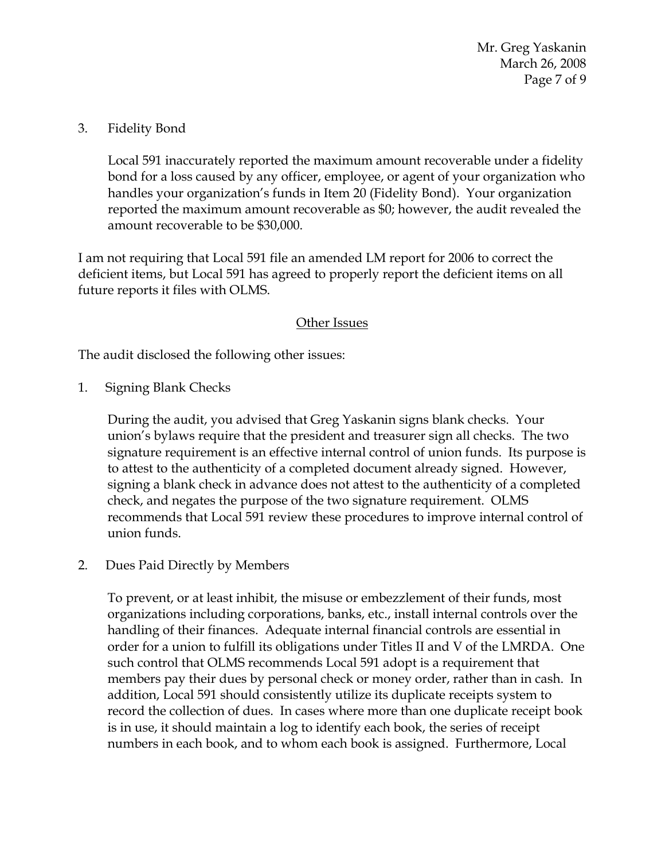Mr. Greg Yaskanin March 26, 2008 Page 7 of 9

## 3. Fidelity Bond

Local 591 inaccurately reported the maximum amount recoverable under a fidelity bond for a loss caused by any officer, employee, or agent of your organization who handles your organization's funds in Item 20 (Fidelity Bond). Your organization reported the maximum amount recoverable as \$0; however, the audit revealed the amount recoverable to be \$30,000.

I am not requiring that Local 591 file an amended LM report for 2006 to correct the deficient items, but Local 591 has agreed to properly report the deficient items on all future reports it files with OLMS.

## Other Issues

The audit disclosed the following other issues:

1. Signing Blank Checks

During the audit, you advised that Greg Yaskanin signs blank checks. Your union's bylaws require that the president and treasurer sign all checks. The two signature requirement is an effective internal control of union funds. Its purpose is to attest to the authenticity of a completed document already signed. However, signing a blank check in advance does not attest to the authenticity of a completed check, and negates the purpose of the two signature requirement. OLMS recommends that Local 591 review these procedures to improve internal control of union funds.

2. Dues Paid Directly by Members

To prevent, or at least inhibit, the misuse or embezzlement of their funds, most organizations including corporations, banks, etc., install internal controls over the handling of their finances. Adequate internal financial controls are essential in order for a union to fulfill its obligations under Titles II and V of the LMRDA. One such control that OLMS recommends Local 591 adopt is a requirement that members pay their dues by personal check or money order, rather than in cash. In addition, Local 591 should consistently utilize its duplicate receipts system to record the collection of dues. In cases where more than one duplicate receipt book is in use, it should maintain a log to identify each book, the series of receipt numbers in each book, and to whom each book is assigned. Furthermore, Local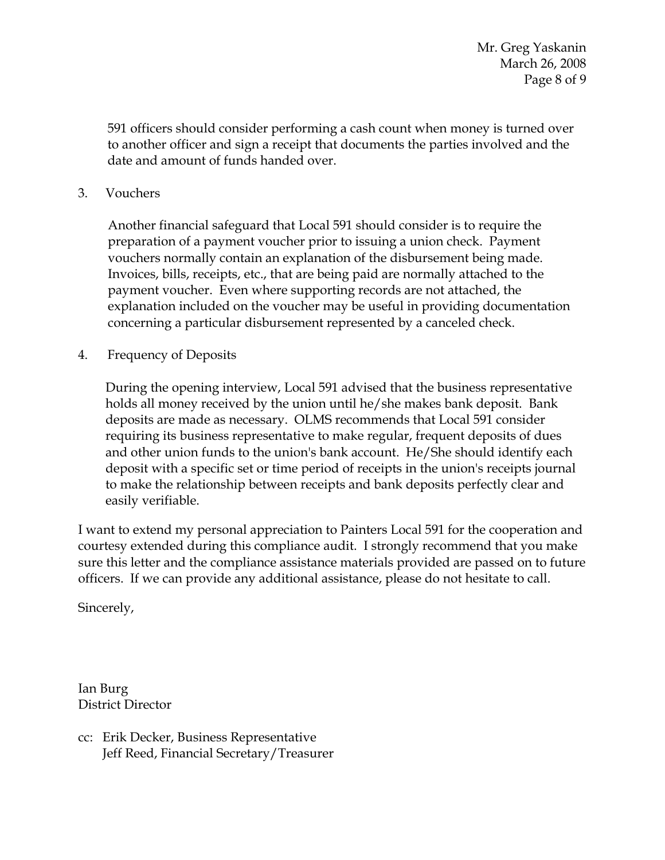Mr. Greg Yaskanin March 26, 2008 Page 8 of 9

591 officers should consider performing a cash count when money is turned over to another officer and sign a receipt that documents the parties involved and the date and amount of funds handed over.

3. Vouchers

Another financial safeguard that Local 591 should consider is to require the preparation of a payment voucher prior to issuing a union check. Payment vouchers normally contain an explanation of the disbursement being made. Invoices, bills, receipts, etc., that are being paid are normally attached to the payment voucher. Even where supporting records are not attached, the explanation included on the voucher may be useful in providing documentation concerning a particular disbursement represented by a canceled check.

4. Frequency of Deposits

During the opening interview, Local 591 advised that the business representative holds all money received by the union until he/she makes bank deposit. Bank deposits are made as necessary. OLMS recommends that Local 591 consider requiring its business representative to make regular, frequent deposits of dues and other union funds to the union's bank account. He/She should identify each deposit with a specific set or time period of receipts in the union's receipts journal to make the relationship between receipts and bank deposits perfectly clear and easily verifiable.

I want to extend my personal appreciation to Painters Local 591 for the cooperation and courtesy extended during this compliance audit. I strongly recommend that you make sure this letter and the compliance assistance materials provided are passed on to future officers. If we can provide any additional assistance, please do not hesitate to call.

Sincerely,

Ian Burg District Director

cc: Erik Decker, Business Representative Jeff Reed, Financial Secretary/Treasurer